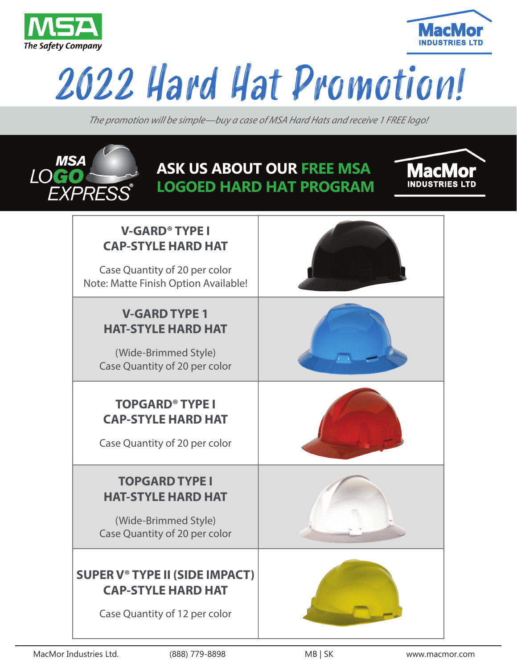



# 2022 Hard Hat Promotion!

*The promotion will be simple—buy a case of MSA Hard Hats and receive 1 FREE logo!*



## **ASK US ABOUT OUR FREE MSA LOGOED HARD HAT PROGRAM**



| <b>V-GARD<sup>®</sup> TYPE I</b><br><b>CAP-STYLE HARD HAT</b><br>Case Quantity of 20 per color<br>Note: Matte Finish Option Available! |  |
|----------------------------------------------------------------------------------------------------------------------------------------|--|
| <b>V-GARD TYPE 1</b><br><b>HAT-STYLE HARD HAT</b><br>(Wide-Brimmed Style)<br>Case Quantity of 20 per color                             |  |
| <b>TOPGARD<sup>®</sup> TYPE I</b><br><b>CAP-STYLE HARD HAT</b><br>Case Quantity of 20 per color                                        |  |
| <b>TOPGARD TYPE I</b><br><b>HAT-STYLE HARD HAT</b><br>(Wide-Brimmed Style)<br>Case Quantity of 20 per color                            |  |
| <b>SUPER V® TYPE II (SIDE IMPACT)</b><br><b>CAP-STYLE HARD HAT</b><br>Case Quantity of 12 per color                                    |  |